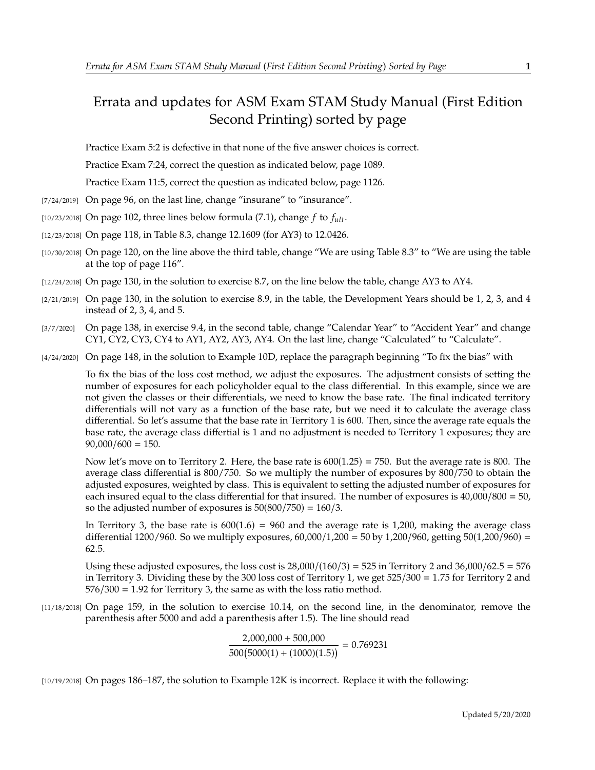## Errata and updates for ASM Exam STAM Study Manual (First Edition Second Printing) sorted by page

Practice Exam 5:2 is defective in that none of the five answer choices is correct.

Practice Exam 7:24, correct the question as indicated below, page 1089.

Practice Exam 11:5, correct the question as indicated below, page 1126.

- [7/24/2019] On page 96, on the last line, change "insurane" to "insurance".
- [10/23/2018] On page 102, three lines below formula (7.1), change  $f$  to  $f_{ult}$ .
- [12/23/2018] On page 118, in Table 8.3, change 12.1609 (for AY3) to 12.0426.
- [10/30/2018] On page 120, on the line above the third table, change "We are using Table 8.3" to "We are using the table at the top of page 116".
- [12/24/2018] On page 130, in the solution to exercise 8.7, on the line below the table, change AY3 to AY4.
- $[2/21/2019]$  On page 130, in the solution to exercise 8.9, in the table, the Development Years should be 1, 2, 3, and 4 instead of 2, 3, 4, and 5.
- [3/7/2020] On page 138, in exercise 9.4, in the second table, change "Calendar Year" to "Accident Year" and change CY1, CY2, CY3, CY4 to AY1, AY2, AY3, AY4. On the last line, change "Calculated" to "Calculate".
- [4/24/2020] On page 148, in the solution to Example 10D, replace the paragraph beginning "To fix the bias" with

To fix the bias of the loss cost method, we adjust the exposures. The adjustment consists of setting the number of exposures for each policyholder equal to the class differential. In this example, since we are not given the classes or their differentials, we need to know the base rate. The final indicated territory differentials will not vary as a function of the base rate, but we need it to calculate the average class differential. So let's assume that the base rate in Territory 1 is 600. Then, since the average rate equals the base rate, the average class differtial is 1 and no adjustment is needed to Territory 1 exposures; they are  $90,000/600 = 150.$ 

Now let's move on to Territory 2. Here, the base rate is  $600(1.25) = 750$ . But the average rate is 800. The average class differential is 800/750. So we multiply the number of exposures by 800/750 to obtain the adjusted exposures, weighted by class. This is equivalent to setting the adjusted number of exposures for each insured equal to the class differential for that insured. The number of exposures is <sup>40</sup>,000/<sup>800</sup> <sup>=</sup> 50, so the adjusted number of exposures is  $50(800/750) = 160/3$ .

In Territory 3, the base rate is  $600(1.6) = 960$  and the average rate is 1,200, making the average class differential 1200/960. So we multiply exposures,  $60,000/1,200 = 50$  by 1,200/960, getting  $50(1,200/960) =$ <sup>62</sup>.5.

Using these adjusted exposures, the loss cost is  $28,000/(160/3) = 525$  in Territory 2 and  $36,000/62.5 = 576$ in Territory 3. Dividing these by the 300 loss cost of Territory 1, we get <sup>525</sup>/<sup>300</sup> <sup>=</sup> <sup>1</sup>.<sup>75</sup> for Territory 2 and  $576/300 = 1.92$  for Territory 3, the same as with the loss ratio method.

[11/18/2018] On page 159, in the solution to exercise 10.14, on the second line, in the denominator, remove the parenthesis after 5000 and add a parenthesis after 1.5). The line should read

$$
\frac{2,000,000 + 500,000}{500(5000(1) + (1000)(1.5))} = 0.769231
$$

[10/19/2018] On pages 186–187, the solution to Example 12K is incorrect. Replace it with the following: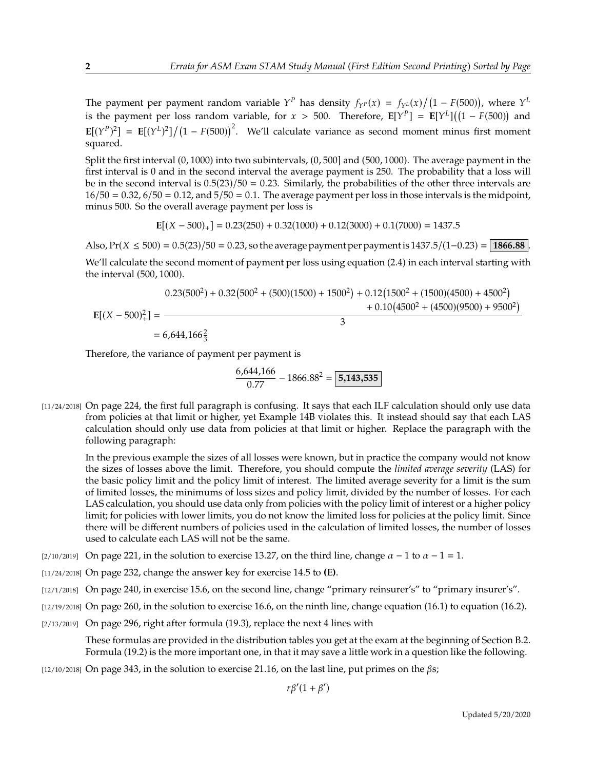The payment per payment random variable  $Y^P$  has density  $f_{Y^P}(x) = f_{Y^L}(x)/(1 - F(500))$ , where  $Y^L$ is the payment per loss random variable, for  $x > 500$ . Therefore,  $\mathbf{E}[Y^P] = \mathbf{E}[Y^L]((1 - F(500))$  and  $\mathbf{E}[(Y^P)^2] = \mathbf{E}[(Y^L)^2]/(1 - F(500))^2$ . We'll calculate variance as second moment minus first moment squared squared.

Split the first interval (0, <sup>1000</sup>) into two subintervals, (0, <sup>500</sup>] and (500, <sup>1000</sup>). The average payment in the first interval is 0 and in the second interval the average payment is 250. The probability that a loss will be in the second interval is  $0.5(23)/50 = 0.23$ . Similarly, the probabilities of the other three intervals are  $16/50 = 0.32$ ,  $6/50 = 0.12$ , and  $5/50 = 0.1$ . The average payment per loss in those intervals is the midpoint, minus 500. So the overall average payment per loss is

$$
\mathbf{E}[(X - 500)_+] = 0.23(250) + 0.32(1000) + 0.12(3000) + 0.1(7000) = 1437.5
$$

Also,  $Pr(X \le 500) = 0.5(23)/50 = 0.23$ , so the average payment per payment is  $1437.5/(1-0.23) = | 1866.88 |$ We'll calculate the second moment of payment per loss using equation (2.4) in each interval starting with the interval (500, <sup>1000</sup>).

$$
0.23(500^{2}) + 0.32(500^{2} + (500)(1500) + 1500^{2}) + 0.12(1500^{2} + (1500)(4500) + 4500^{2}) + 0.10(4500^{2} + (4500)(9500) + 9500^{2})
$$
  
= 6.644462<sup>2</sup>

 $= 6,644,166\frac{2}{3}$ 

Therefore, the variance of payment per payment is

$$
\frac{6,644,166}{0.77} - 1866.88^2 = \boxed{5,143,535}
$$

[11/24/2018] On page 224, the first full paragraph is confusing. It says that each ILF calculation should only use data from policies at that limit or higher, yet Example 14B violates this. It instead should say that each LAS calculation should only use data from policies at that limit or higher. Replace the paragraph with the following paragraph:

In the previous example the sizes of all losses were known, but in practice the company would not know the sizes of losses above the limit. Therefore, you should compute the *limited average severity* (LAS) for the basic policy limit and the policy limit of interest. The limited average severity for a limit is the sum of limited losses, the minimums of loss sizes and policy limit, divided by the number of losses. For each LAS calculation, you should use data only from policies with the policy limit of interest or a higher policy limit; for policies with lower limits, you do not know the limited loss for policies at the policy limit. Since there will be different numbers of policies used in the calculation of limited losses, the number of losses used to calculate each LAS will not be the same.

- [2/10/2019] On page 221, in the solution to exercise 13.27, on the third line, change  $\alpha 1$  to  $\alpha 1 = 1$ .
- [11/24/2018] On page 232, change the answer key for exercise 14.5 to **(E)**.
- [12/1/2018] On page 240, in exercise 15.6, on the second line, change "primary reinsurer's" to "primary insurer's".
- [12/19/2018] On page 260, in the solution to exercise 16.6, on the ninth line, change equation (16.1) to equation (16.2).
- [2/13/2019] On page 296, right after formula (19.3), replace the next 4 lines with

These formulas are provided in the distribution tables you get at the exam at the beginning of Section B.2. Formula (19.2) is the more important one, in that it may save a little work in a question like the following.

[12/10/2018] On page 343, in the solution to exercise 21.16, on the last line, put primes on the  $\beta s$ ;

 $r\beta'(1+\beta')$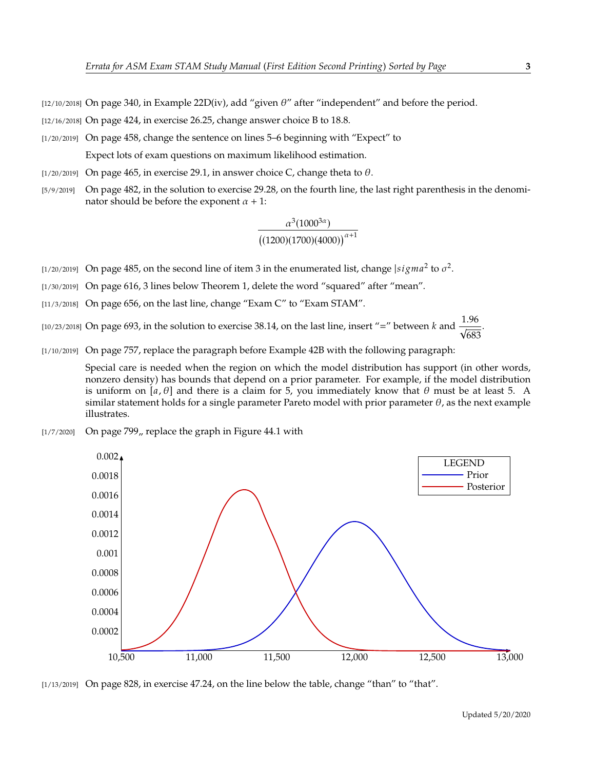[12/10/2018] On page 340, in Example 22D(iv), add "given  $\theta$ " after "independent" and before the period.

[12/16/2018] On page 424, in exercise 26.25, change answer choice B to 18.8.

- [1/20/2019] On page 458, change the sentence on lines 5–6 beginning with "Expect" to Expect lots of exam questions on maximum likelihood estimation.
- [ $1/20/2019$ ] On page 465, in exercise 29.1, in answer choice C, change theta to  $\theta$ .
- [5/9/2019] On page 482, in the solution to exercise 29.28, on the fourth line, the last right parenthesis in the denominator should be before the exponent  $\alpha + 1$ :

$$
\frac{\alpha^3(1000^{3\alpha})}{\left((1200)(1700)(4000)\right)^{\alpha+1}}
$$

- [1/20/2019] On page 485, on the second line of item 3 in the enumerated list, change  $|sigma^2$  to  $\sigma^2$ .
- [1/30/2019] On page 616, 3 lines below Theorem 1, delete the word "squared" after "mean".
- [11/3/2018] On page 656, on the last line, change "Exam C" to "Exam STAM".
- [10/23/2018] On page 693, in the solution to exercise 38.14, on the last line, insert "=" between k and  $\frac{1.96}{\sqrt{683}}$ 683 .
- [1/10/2019] On page 757, replace the paragraph before Example 42B with the following paragraph:

Special care is needed when the region on which the model distribution has support (in other words, nonzero density) has bounds that depend on a prior parameter. For example, if the model distribution is uniform on [a,  $\theta$ ] and there is a claim for 5, you immediately know that  $\theta$  must be at least 5. A similar statement holds for a single parameter Pareto model with prior parameter  $\theta$ , as the next example illustrates.

 $[1/7/2020]$  On page 799,, replace the graph in Figure 44.1 with



[1/13/2019] On page 828, in exercise 47.24, on the line below the table, change "than" to "that".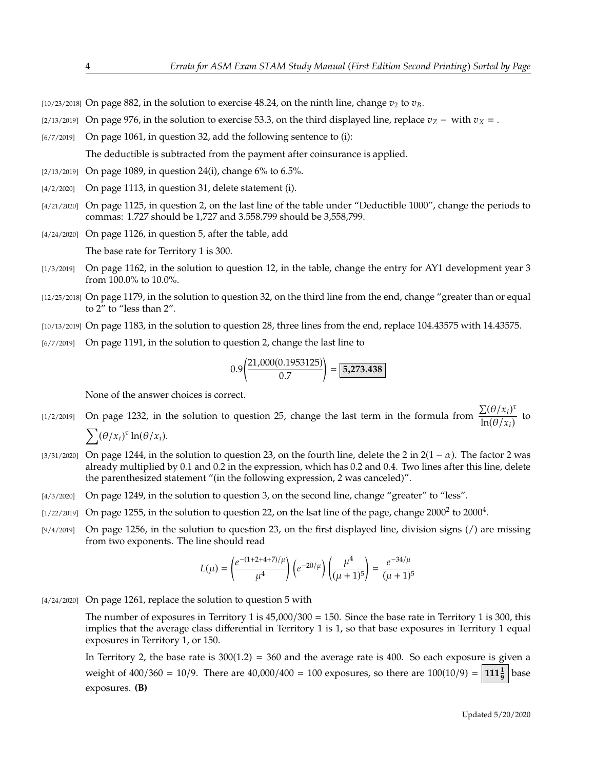[10/23/2018] On page 882, in the solution to exercise 48.24, on the ninth line, change  $v_2$  to  $v_B$ .

- [2/13/2019] On page 976, in the solution to exercise 53.3, on the third displayed line, replace  $v_Z$  with  $v_X$  = .
- [6/7/2019] On page 1061, in question 32, add the following sentence to (i):

The deductible is subtracted from the payment after coinsurance is applied.

- [2/13/2019] On page 1089, in question 24(i), change 6% to 6.5%.
- [4/2/2020] On page 1113, in question 31, delete statement (i).
- [4/21/2020] On page 1125, in question 2, on the last line of the table under "Deductible 1000", change the periods to commas: 1.727 should be 1,727 and 3.558.799 should be 3,558,799.
- [4/24/2020] On page 1126, in question 5, after the table, add

The base rate for Territory 1 is 300.

- [1/3/2019] On page 1162, in the solution to question 12, in the table, change the entry for AY1 development year 3 from 100.0% to 10.0%.
- [12/25/2018] On page 1179, in the solution to question 32, on the third line from the end, change "greater than or equal to 2" to "less than 2".
- [10/13/2019] On page 1183, in the solution to question 28, three lines from the end, replace 104.43575 with 14.43575.
- [6/7/2019] On page 1191, in the solution to question 2, change the last line to

$$
0.9\left(\frac{21,000(0.1953125)}{0.7}\right) = \boxed{5,273.438}
$$

None of the answer choices is correct.

- [1/2/2019] On page 1232, in the solution to question 25, change the last term in the formula from  $\frac{\sum (\theta/x_i)^{\tau}}{\ln(\theta/x_i)}$  $\frac{\Delta(\mathcal{O}/n_i)}{\ln(\theta/x_i)}$  to  $\sum (\theta/x_i)^{\tau} \ln(\theta/x_i).$
- [3/31/2020] On page 1244, in the solution to question 23, on the fourth line, delete the 2 in  $2(1 \alpha)$ . The factor 2 was already multiplied by 0.1 and 0.2 in the expression, which has 0.2 and 0.4. Two lines after this line, delete the parenthesized statement "(in the following expression, 2 was canceled)".
- [4/3/2020] On page 1249, in the solution to question 3, on the second line, change "greater" to "less".
- [1/22/2019] On page 1255, in the solution to question 22, on the lsat line of the page, change 2000<sup>2</sup> to 2000<sup>4</sup>.
- [9/4/2019] On page 1256, in the solution to question 23, on the first displayed line, division signs (/) are missing from two exponents. The line should read

$$
L(\mu) = \left(\frac{e^{-(1+2+4+7)/\mu}}{\mu^4}\right) \left(e^{-20/\mu}\right) \left(\frac{\mu^4}{(\mu+1)^5}\right) = \frac{e^{-34/\mu}}{(\mu+1)^5}
$$

[4/24/2020] On page 1261, replace the solution to question 5 with

The number of exposures in Territory 1 is  $45,000/300 = 150$ . Since the base rate in Territory 1 is 300, this implies that the average class differential in Territory 1 is 1, so that base exposures in Territory 1 equal exposures in Territory 1, or 150.

In Territory 2, the base rate is  $300(1.2) = 360$  and the average rate is 400. So each exposure is given a weight of  $400/360 = 10/9$ . There are  $40,000/400 = 100$  exposures, so there are  $100(10/9) = 111\frac{1}{9}$  base exposures. **(B)**